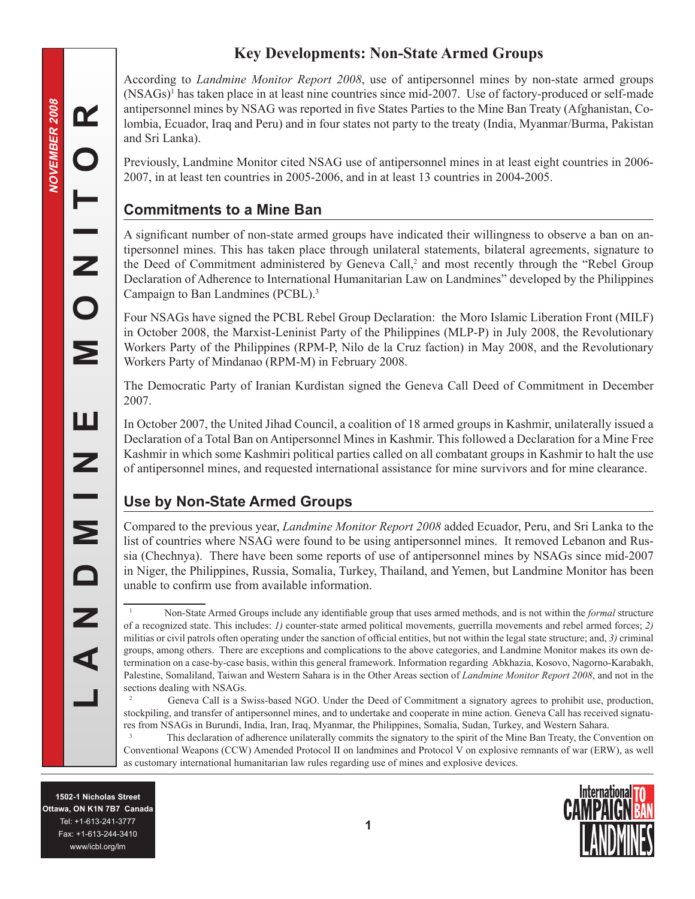# **Key Developments: Non-State Armed Groups**

According to *Landmine Monitor Report 2008*, use of antipersonnel mines by non-state armed groups (NSAGs) has taken place in at least nine countries since mid-2007. Use of factory-produced or self-made antipersonnel mines by NSAG was reported in five States Parties to the Mine Ban Treaty (Afghanistan, Colombia, Ecuador, Iraq and Peru) and in four states not party to the treaty (India, Myanmar/Burma, Pakistan and Sri Lanka).

Previously, Landmine Monitor cited NSAG use of antipersonnel mines in at least eight countries in 2006- 2007, in at least ten countries in 2005-2006, and in at least 13 countries in 2004-2005.

# **Commitments to a Mine Ban**

A significant number of non-state armed groups have indicated their willingness to observe a ban on antipersonnel mines. This has taken place through unilateral statements, bilateral agreements, signature to the Deed of Commitment administered by Geneva Call,<sup>2</sup> and most recently through the "Rebel Group" Declaration of Adherence to International Humanitarian Law on Landmines" developed by the Philippines Campaign to Ban Landmines (PCBL).

Four NSAGs have signed the PCBL Rebel Group Declaration: the Moro Islamic Liberation Front (MILF) in October 2008, the Marxist-Leninist Party of the Philippines (MLP-P) in July 2008, the Revolutionary Workers Party of the Philippines (RPM-P, Nilo de la Cruz faction) in May 2008, and the Revolutionary Workers Party of Mindanao (RPM-M) in February 2008.

The Democratic Party of Iranian Kurdistan signed the Geneva Call Deed of Commitment in December 2007.

In October 2007, the United Jihad Council, a coalition of 18 armed groups in Kashmir, unilaterally issued a Declaration of a Total Ban on Antipersonnel Mines in Kashmir. This followed a Declaration for a Mine Free Kashmir in which some Kashmiri political parties called on all combatant groups in Kashmir to halt the use of antipersonnel mines, and requested international assistance for mine survivors and for mine clearance.

# **Use by Non-State Armed Groups**

Compared to the previous year, *Landmine Monitor Report 2008* added Ecuador, Peru, and Sri Lanka to the list of countries where NSAG were found to be using antipersonnel mines. It removed Lebanon and Russia (Chechnya). There have been some reports of use of antipersonnel mines by NSAGs since mid-2007 in Niger, the Philippines, Russia, Somalia, Turkey, Thailand, and Yemen, but Landmine Monitor has been unable to confirm use from available information.

 This declaration of adherence unilaterally commits the signatory to the spirit of the Mine Ban Treaty, the Convention on Conventional Weapons (CCW) Amended Protocol II on landmines and Protocol V on explosive remnants of war (ERW), as well as customary international humanitarian law rules regarding use of mines and explosive devices.



**NOVEMBER 2008**

Œ

 $\bullet$ 

**VOVEMBER 2008** 

Non-State Armed Groups include any identifiable group that uses armed methods, and is not within the *formal* structure of a recognized state. This includes: *1)* counter-state armed political movements, guerrilla movements and rebel armed forces; *2)* militias or civil patrols often operating under the sanction of official entities, but not within the legal state structure; and, *3)* criminal groups, among others. There are exceptions and complications to the above categories, and Landmine Monitor makes its own determination on a case-by-case basis, within this general framework. Information regarding Abkhazia, Kosovo, Nagorno-Karabakh, Palestine, Somaliland, Taiwan and Western Sahara is in the Other Areas section of *Landmine Monitor Report 2008*, and not in the sections dealing with NSAGs.

 $\overline{2}$  Geneva Call is a Swiss-based NGO. Under the Deed of Commitment a signatory agrees to prohibit use, production, stockpiling, and transfer of antipersonnel mines, and to undertake and cooperate in mine action. Geneva Call has received signatures from NSAGs in Burundi, India, Iran, Iraq, Myanmar, the Philippines, Somalia, Sudan, Turkey, and Western Sahara.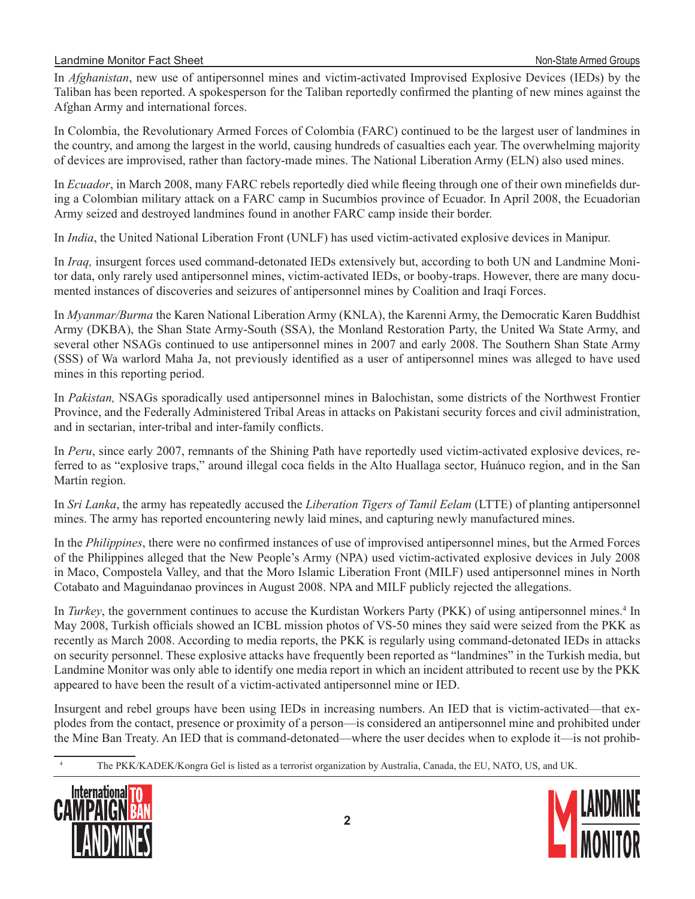#### Landmine Monitor Fact Sheet Non-State Armed Groups

In *Afghanistan*, new use of antipersonnel mines and victim-activated Improvised Explosive Devices (IEDs) by the Taliban has been reported. A spokesperson for the Taliban reportedly confirmed the planting of new mines against the Afghan Army and international forces.

In Colombia, the Revolutionary Armed Forces of Colombia (FARC) continued to be the largest user of landmines in the country, and among the largest in the world, causing hundreds of casualties each year. The overwhelming majority of devices are improvised, rather than factory-made mines. The National Liberation Army (ELN) also used mines.

In *Ecuador*, in March 2008, many FARC rebels reportedly died while fleeing through one of their own minefields during a Colombian military attack on a FARC camp in Sucumbíos province of Ecuador. In April 2008, the Ecuadorian Army seized and destroyed landmines found in another FARC camp inside their border.

In *India*, the United National Liberation Front (UNLF) has used victim-activated explosive devices in Manipur.

In *Iraq,* insurgent forces used command-detonated IEDs extensively but, according to both UN and Landmine Monitor data, only rarely used antipersonnel mines, victim-activated IEDs, or booby-traps. However, there are many documented instances of discoveries and seizures of antipersonnel mines by Coalition and Iraqi Forces.

In *Myanmar/Burma* the Karen National Liberation Army (KNLA), the Karenni Army, the Democratic Karen Buddhist Army (DKBA), the Shan State Army-South (SSA), the Monland Restoration Party, the United Wa State Army, and several other NSAGs continued to use antipersonnel mines in 2007 and early 2008. The Southern Shan State Army (SSS) of Wa warlord Maha Ja, not previously identified as a user of antipersonnel mines was alleged to have used mines in this reporting period.

In *Pakistan,* NSAGs sporadically used antipersonnel mines in Balochistan, some districts of the Northwest Frontier Province, and the Federally Administered Tribal Areas in attacks on Pakistani security forces and civil administration, and in sectarian, inter-tribal and inter-family conflicts.

In *Peru*, since early 2007, remnants of the Shining Path have reportedly used victim-activated explosive devices, referred to as "explosive traps," around illegal coca fields in the Alto Huallaga sector, Huánuco region, and in the San Martín region.

In *Sri Lanka*, the army has repeatedly accused the *Liberation Tigers of Tamil Eelam* (LTTE) of planting antipersonnel mines. The army has reported encountering newly laid mines, and capturing newly manufactured mines.

In the *Philippines*, there were no confirmed instances of use of improvised antipersonnel mines, but the Armed Forces of the Philippines alleged that the New People's Army (NPA) used victim-activated explosive devices in July 2008 in Maco, Compostela Valley, and that the Moro Islamic Liberation Front (MILF) used antipersonnel mines in North Cotabato and Maguindanao provinces in August 2008. NPA and MILF publicly rejected the allegations.

In *Turkey*, the government continues to accuse the Kurdistan Workers Party (PKK) of using antipersonnel mines.<sup>4</sup> In May 2008, Turkish officials showed an ICBL mission photos of VS-50 mines they said were seized from the PKK as recently as March 2008. According to media reports, the PKK is regularly using command-detonated IEDs in attacks on security personnel. These explosive attacks have frequently been reported as "landmines" in the Turkish media, but Landmine Monitor was only able to identify one media report in which an incident attributed to recent use by the PKK appeared to have been the result of a victim-activated antipersonnel mine or IED.

Insurgent and rebel groups have been using IEDs in increasing numbers. An IED that is victim-activated—that explodes from the contact, presence or proximity of a person—is considered an antipersonnel mine and prohibited under the Mine Ban Treaty. An IED that is command-detonated—where the user decides when to explode it—is not prohib-

The PKK/KADEK/Kongra Gel is listed as a terrorist organization by Australia, Canada, the EU, NATO, US, and UK.



 $\overline{4}$ 

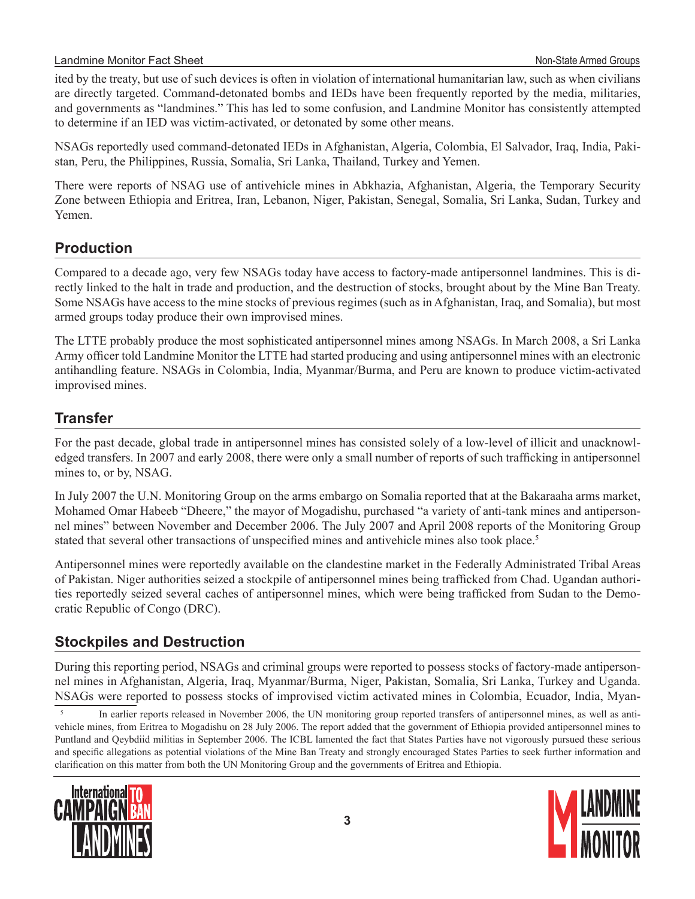ited by the treaty, but use of such devices is often in violation of international humanitarian law, such as when civilians are directly targeted. Command-detonated bombs and IEDs have been frequently reported by the media, militaries, and governments as "landmines." This has led to some confusion, and Landmine Monitor has consistently attempted to determine if an IED was victim-activated, or detonated by some other means.

NSAGs reportedly used command-detonated IEDs in Afghanistan, Algeria, Colombia, El Salvador, Iraq, India, Pakistan, Peru, the Philippines, Russia, Somalia, Sri Lanka, Thailand, Turkey and Yemen.

There were reports of NSAG use of antivehicle mines in Abkhazia, Afghanistan, Algeria, the Temporary Security Zone between Ethiopia and Eritrea, Iran, Lebanon, Niger, Pakistan, Senegal, Somalia, Sri Lanka, Sudan, Turkey and Yemen.

## **Production**

Compared to a decade ago, very few NSAGs today have access to factory-made antipersonnel landmines. This is directly linked to the halt in trade and production, and the destruction of stocks, brought about by the Mine Ban Treaty. Some NSAGs have access to the mine stocks of previous regimes (such as in Afghanistan, Iraq, and Somalia), but most armed groups today produce their own improvised mines.

The LTTE probably produce the most sophisticated antipersonnel mines among NSAGs. In March 2008, a Sri Lanka Army officer told Landmine Monitor the LTTE had started producing and using antipersonnel mines with an electronic antihandling feature. NSAGs in Colombia, India, Myanmar/Burma, and Peru are known to produce victim-activated improvised mines.

### **Transfer**

For the past decade, global trade in antipersonnel mines has consisted solely of a low-level of illicit and unacknowledged transfers. In 2007 and early 2008, there were only a small number of reports of such trafficking in antipersonnel mines to, or by, NSAG.

In July 2007 the U.N. Monitoring Group on the arms embargo on Somalia reported that at the Bakaraaha arms market, Mohamed Omar Habeeb "Dheere," the mayor of Mogadishu, purchased "a variety of anti-tank mines and antipersonnel mines" between November and December 2006. The July 2007 and April 2008 reports of the Monitoring Group stated that several other transactions of unspecified mines and antivehicle mines also took place.<sup>5</sup>

Antipersonnel mines were reportedly available on the clandestine market in the Federally Administrated Tribal Areas of Pakistan. Niger authorities seized a stockpile of antipersonnel mines being trafficked from Chad. Ugandan authorities reportedly seized several caches of antipersonnel mines, which were being trafficked from Sudan to the Democratic Republic of Congo (DRC).

## **Stockpiles and Destruction**

During this reporting period, NSAGs and criminal groups were reported to possess stocks of factory-made antipersonnel mines in Afghanistan, Algeria, Iraq, Myanmar/Burma, Niger, Pakistan, Somalia, Sri Lanka, Turkey and Uganda. NSAGs were reported to possess stocks of improvised victim activated mines in Colombia, Ecuador, India, Myan-

 In earlier reports released in November 2006, the UN monitoring group reported transfers of antipersonnel mines, as well as antivehicle mines, from Eritrea to Mogadishu on 28 July 2006. The report added that the government of Ethiopia provided antipersonnel mines to Puntland and Qeybdiid militias in September 2006. The ICBL lamented the fact that States Parties have not vigorously pursued these serious and specific allegations as potential violations of the Mine Ban Treaty and strongly encouraged States Parties to seek further information and clarification on this matter from both the UN Monitoring Group and the governments of Eritrea and Ethiopia.